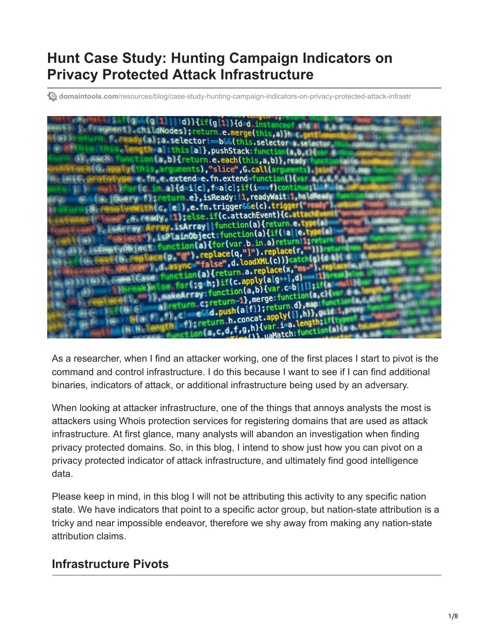# **Hunt Case Study: Hunting Campaign Indicators on Privacy Protected Attack Infrastructure**

**domaintools.com**[/resources/blog/case-study-hunting-campaign-indicators-on-privacy-protected-attack-infrastr](https://www.domaintools.com/resources/blog/case-study-hunting-campaign-indicators-on-privacy-protected-attack-infrastr)



As a researcher, when I find an attacker working, one of the first places I start to pivot is the command and control infrastructure. I do this because I want to see if I can find additional binaries, indicators of attack, or additional infrastructure being used by an adversary.

When looking at attacker infrastructure, one of the things that annoys analysts the most is attackers using Whois protection services for registering domains that are used as attack infrastructure. At first glance, many analysts will abandon an investigation when finding privacy protected domains. So, in this blog, I intend to show just how you can pivot on a privacy protected indicator of attack infrastructure, and ultimately find good intelligence data.

Please keep in mind, in this blog I will not be attributing this activity to any specific nation state. We have indicators that point to a specific actor group, but nation-state attribution is a tricky and near impossible endeavor, therefore we shy away from making any nation-state attribution claims.

### **Infrastructure Pivots**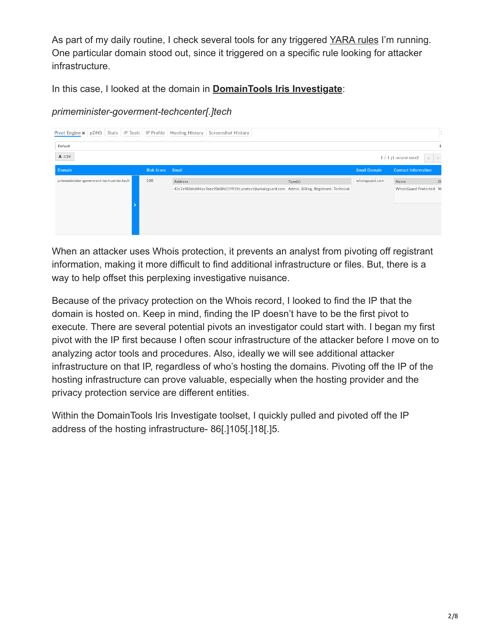As part of my daily routine, I check several tools for any triggered [YARA rules](http://yararules.com/) I'm running. One particular domain stood out, since it triggered on a specific rule looking for attacker infrastructure.

In this case, I looked at the domain in **[DomainTools Iris Investigate](https://www.domaintools.com/products/iris-investigate)**:

*primeminister-goverment-techcenter[.]tech*

| Stats IP Tools IP Profile Hosting History<br>Pivot Engine x pDNS |                            | <b>Screenshot History</b>                                                                     |         |                     | $\rightarrow$              |
|------------------------------------------------------------------|----------------------------|-----------------------------------------------------------------------------------------------|---------|---------------------|----------------------------|
| Default                                                          |                            |                                                                                               |         |                     |                            |
| L.CSV                                                            |                            |                                                                                               |         |                     | $1/1$ (1 record total)     |
| Domain                                                           | Email<br><b>Risk Score</b> |                                                                                               |         | <b>Email Domain</b> | <b>Contact Information</b> |
| 100<br>primeminister-goverment-techcenter.tech                   | Address                    |                                                                                               | Type(s) | whoisguard.com      | Name<br>$\circ$            |
|                                                                  |                            | 43c2af83ded44ae3bec90a0fd25f939e.protect@whoisguard.com Admin, Billing, Registrant, Technical |         |                     | WhoisGuard Protected W     |
|                                                                  |                            |                                                                                               |         |                     |                            |
|                                                                  |                            |                                                                                               |         |                     |                            |
|                                                                  |                            |                                                                                               |         |                     |                            |
|                                                                  |                            |                                                                                               |         |                     |                            |

When an attacker uses Whois protection, it prevents an analyst from pivoting off registrant information, making it more difficult to find additional infrastructure or files. But, there is a way to help offset this perplexing investigative nuisance.

Because of the privacy protection on the Whois record, I looked to find the IP that the domain is hosted on. Keep in mind, finding the IP doesn't have to be the first pivot to execute. There are several potential pivots an investigator could start with. I began my first pivot with the IP first because I often scour infrastructure of the attacker before I move on to analyzing actor tools and procedures. Also, ideally we will see additional attacker infrastructure on that IP, regardless of who's hosting the domains. Pivoting off the IP of the hosting infrastructure can prove valuable, especially when the hosting provider and the privacy protection service are different entities.

Within the DomainTools Iris Investigate toolset, I quickly pulled and pivoted off the IP address of the hosting infrastructure- 86[.]105[.]18[.]5.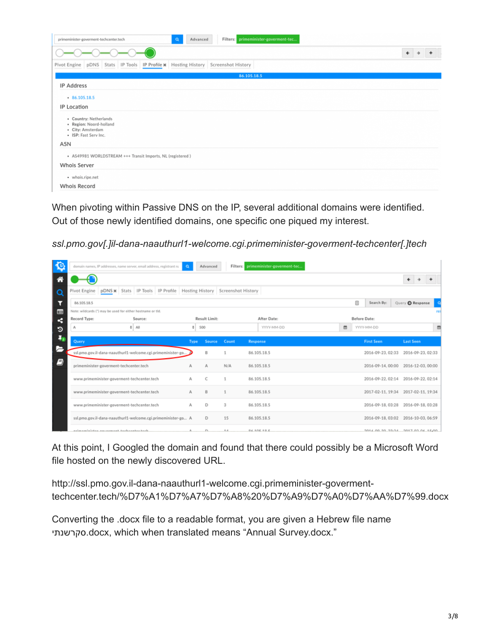| Filters: primeminister-goverment-tec<br>primeminister-goverment-techcenter.tech<br>Advanced<br>$\mathsf Q$ |                              |  |  |  |  |
|------------------------------------------------------------------------------------------------------------|------------------------------|--|--|--|--|
|                                                                                                            | $\hat{\textbf{r}}$<br>÷<br>→ |  |  |  |  |
| Pivot Engine   pDNS   Stats   IP Tools   IP Profile x   Hosting History   Screenshot History               |                              |  |  |  |  |
| 86.105.18.5                                                                                                |                              |  |  |  |  |
| <b>IP Address</b>                                                                                          |                              |  |  |  |  |
| $-86.105.18.5$                                                                                             |                              |  |  |  |  |
| IP Location                                                                                                |                              |  |  |  |  |
| • Country: Netherlands<br>· Region: Noord-holland<br>· City: Amsterdam<br>· ISP: Fast Serv Inc.            |                              |  |  |  |  |
| ASN                                                                                                        |                              |  |  |  |  |
| • AS49981 WORLDSTREAM +++ Transit Imports, NL (registered)                                                 |                              |  |  |  |  |
| <b>Whois Server</b>                                                                                        |                              |  |  |  |  |
| · whois.ripe.net                                                                                           |                              |  |  |  |  |
| <b>Whois Record</b>                                                                                        |                              |  |  |  |  |

When pivoting within Passive DNS on the IP, several additional domains were identified. Out of those newly identified domains, one specific one piqued my interest.

*ssl.pmo.gov[.]il-dana-naauthurl1-welcome.cgi.primeminister-goverment-techcenter[.]tech*

| $\bullet$          | domain names, IP addresses, name server, email address, registrant na            | $\alpha$ |      | Advanced      |       | Filters: primeminister-goverment-tec |   |              |                              |                   |   |
|--------------------|----------------------------------------------------------------------------------|----------|------|---------------|-------|--------------------------------------|---|--------------|------------------------------|-------------------|---|
| m                  |                                                                                  |          |      |               |       |                                      |   |              |                              |                   |   |
| $\circ$            | Pivot Engine pDNS x Stats IP Tools IP Profile Hosting History Screenshot History |          |      |               |       |                                      |   |              |                              |                   |   |
| ▼                  | 86.105.18.5                                                                      |          |      |               |       |                                      |   | 国            | Search By:                   | Query C Response  |   |
| $\blacksquare$     | Note: wildcards (") may be used for either hostname or tid.                      |          |      |               |       |                                      |   |              |                              |                   |   |
| ≺                  | Record Type:                                                                     | Source:  |      | Result Limit: |       | After Date:                          |   | Before Date: |                              |                   |   |
| ಾ                  |                                                                                  | A        | ÷.   | 500           |       | YYYY-MM-DD                           | ö |              | YYYY-MM-DD                   |                   | œ |
| Ą,                 |                                                                                  |          |      |               |       |                                      |   |              |                              |                   |   |
|                    | Query                                                                            |          | Type | Source        | Count | Response                             |   |              | <b>First Seen</b>            | <b>Last Seen</b>  |   |
| E                  | ssl.pmo.gov.il-dana-naauthurl1-welcome.cgi.primeminister-go                      |          |      | B             |       | 86.105.18.5                          |   |              | 2016-09-23, 02:33            | 2016-09-23, 02:33 |   |
| $\boldsymbol{\Xi}$ | primeminister-goverment-techcenter.tech                                          |          | Α    | А             | N/A   | 86.105.18.5                          |   |              | 2016-09-14, 00:00            | 2016-12-03.00:00  |   |
|                    | www.primeminister-goverment-techcenter.tech                                      |          | А    | C             |       | 86.105.18.5                          |   |              | 2016-09-22, 02:14            | 2016-09-22, 02:14 |   |
|                    | www.primeminister-goverment-techcenter.tech                                      |          | Α    | B             |       | 86.105.18.5                          |   |              | 2017-02-11, 19:34            | 2017-02-11, 19:34 |   |
|                    | www.primeminister-goverment-techcenter.tech                                      |          | А    | D             | 3     | 86.105.18.5                          |   |              | 2016-09-18, 03:28            | 2016-09-18, 03:28 |   |
|                    | ssl.pmo.gov.il-dana-naauthurl1-welcome.cgi.primeminister-go A                    |          |      | D             | 15    | 86.105.18.5                          |   |              | 2016-09-18, 03:02            | 2016-10-03, 06:59 |   |
|                    | ncimaminickae anuncmant tachcontae tach                                          |          |      | n.            | 4.4   | 04 4 nE 4 0 E                        |   |              | 3844 88 99.34 3817 83 84 950 |                   |   |

At this point, I Googled the domain and found that there could possibly be a Microsoft Word file hosted on the newly discovered URL.

http://ssl.pmo.gov.il-dana-naauthurl1-welcome.cgi.primeminister-govermenttechcenter.tech/%D7%A1%D7%A7%D7%A8%20%D7%A9%D7%A0%D7%AA%D7%99.docx

Converting the .docx file to a readable format, you are given a Hebrew file name סקרשנתי.docx, which when translated means "Annual Survey.docx."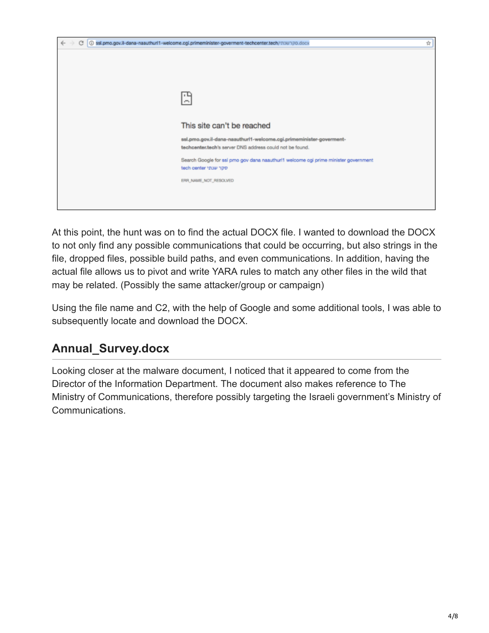

At this point, the hunt was on to find the actual DOCX file. I wanted to download the DOCX to not only find any possible communications that could be occurring, but also strings in the file, dropped files, possible build paths, and even communications. In addition, having the actual file allows us to pivot and write YARA rules to match any other files in the wild that may be related. (Possibly the same attacker/group or campaign)

Using the file name and C2, with the help of Google and some additional tools, I was able to subsequently locate and download the DOCX.

### **Annual\_Survey.docx**

Looking closer at the malware document, I noticed that it appeared to come from the Director of the Information Department. The document also makes reference to The Ministry of Communications, therefore possibly targeting the Israeli government's Ministry of Communications.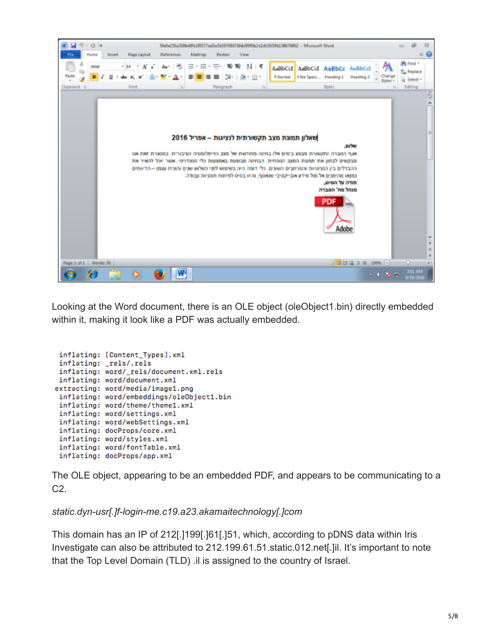

Looking at the Word document, there is an OLE object (oleObject1.bin) directly embedded within it, making it look like a PDF was actually embedded.

```
inflating: [Content_Types].xml
inflating: _rels/.rels
inflating: word/_rels/document.xml.rels
inflating: word/document.xml
extracting: word/media/image1.png
inflating: word/embeddings/oleObject1.bin
inflating: word/theme/theme1.xml
inflating: word/settings.xml
inflating: word/webSettings.xml
inflating: docProps/core.xml
inflating: word/styles.xml
inflating: word/fontTable.xml
inflating: docProps/app.xml
```
The OLE object, appearing to be an embedded PDF, and appears to be communicating to a C2.

#### *static.dyn-usr[.]f-login-me.c19.a23.akamaitechnology[.]com*

This domain has an IP of 212[.]199[.]61[.]51, which, according to pDNS data within Iris Investigate can also be attributed to 212.199.61.51.static.012.net[.]il. It's important to note that the Top Level Domain (TLD) .il is assigned to the country of Israel.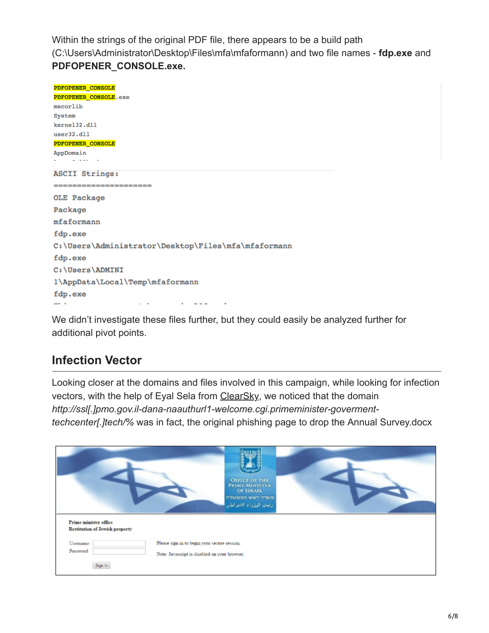Within the strings of the original PDF file, there appears to be a build path (C:\Users\Administrator\Desktop\Files\mfa\mfaformann) and two file names - **fdp.exe** and **PDFOPENER\_CONSOLE.exe.**

| <b>PDFOPENER CONSOLE</b>                            |
|-----------------------------------------------------|
| <b>PDFOPENER CONSOLE.</b> exe                       |
| mscorlib                                            |
| System                                              |
| kerne132.dll                                        |
| user32.dll                                          |
| <b>PDFOPENER CONSOLE</b>                            |
| AppDomain                                           |
|                                                     |
| ASCII Strings:                                      |
| -----------------------                             |
| OLE Package                                         |
| Package                                             |
| mfaformann                                          |
| fdp.exe                                             |
| C:\Users\Administrator\Desktop\Files\mfa\mfaformann |
| fdp.exe                                             |
| C:\Users\ADMINI                                     |
| 1\AppData\Local\Temp\mfaformann                     |
| fdp.exe                                             |
|                                                     |

We didn't investigate these files further, but they could easily be analyzed further for additional pivot points.

### **Infection Vector**

Looking closer at the domains and files involved in this campaign, while looking for infection vectors, with the help of Eyal Sela from [ClearSky,](https://www.clearskysec.com/) we noticed that the domain *http://ssl[.]pmo.gov.il-dana-naauthurl1-welcome.cgi.primeminister-govermenttechcenter[.]tech/%* was in fact, the original phishing page to drop the Annual Survey.docx

|                                                                       | OFFICE OF THE<br>PRIME MINISTER<br>OF ISRAEL<br>משרד ראש המגושלה<br>رليس الوزراء الاسرانيلي   |  |
|-----------------------------------------------------------------------|-----------------------------------------------------------------------------------------------|--|
| <b>Prime minister office</b><br><b>Restitution of Jewish property</b> |                                                                                               |  |
| Username<br>Password<br>Sign In                                       | Please sign in to begin your secure session.<br>Note: Javascript is disabled on your browser. |  |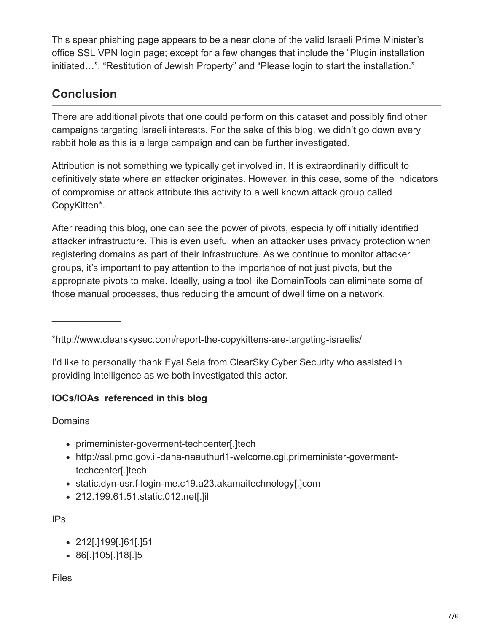This spear phishing page appears to be a near clone of the valid Israeli Prime Minister's office SSL VPN login page; except for a few changes that include the "Plugin installation initiated…", "Restitution of Jewish Property" and "Please login to start the installation."

## **Conclusion**

There are additional pivots that one could perform on this dataset and possibly find other campaigns targeting Israeli interests. For the sake of this blog, we didn't go down every rabbit hole as this is a large campaign and can be further investigated.

Attribution is not something we typically get involved in. It is extraordinarily difficult to definitively state where an attacker originates. However, in this case, some of the indicators of compromise or attack attribute this activity to a well known attack group called CopyKitten\*.

After reading this blog, one can see the power of pivots, especially off initially identified attacker infrastructure. This is even useful when an attacker uses privacy protection when registering domains as part of their infrastructure. As we continue to monitor attacker groups, it's important to pay attention to the importance of not just pivots, but the appropriate pivots to make. Ideally, using a tool like DomainTools can eliminate some of those manual processes, thus reducing the amount of dwell time on a network.

\*http://www.clearskysec.com/report-the-copykittens-are-targeting-israelis/

I'd like to personally thank Eyal Sela from ClearSky Cyber Security who assisted in providing intelligence as we both investigated this actor.

### **IOCs/IOAs referenced in this blog**

**Domains** 

 $\frac{1}{2}$  ,  $\frac{1}{2}$  ,  $\frac{1}{2}$  ,  $\frac{1}{2}$  ,  $\frac{1}{2}$  ,  $\frac{1}{2}$  ,  $\frac{1}{2}$ 

- primeminister-goverment-techcenter[.]tech
- http://ssl.pmo.gov.il-dana-naauthurl1-welcome.cgi.primeminister-govermenttechcenter[.]tech
- static.dyn-usr.f-login-me.c19.a23.akamaitechnology[.]com
- 212.199.61.51.static.012.net[.]il

IPs

- 212[.]199[.]61[.]51
- 86[.]105[.]18[.]5

**Files**